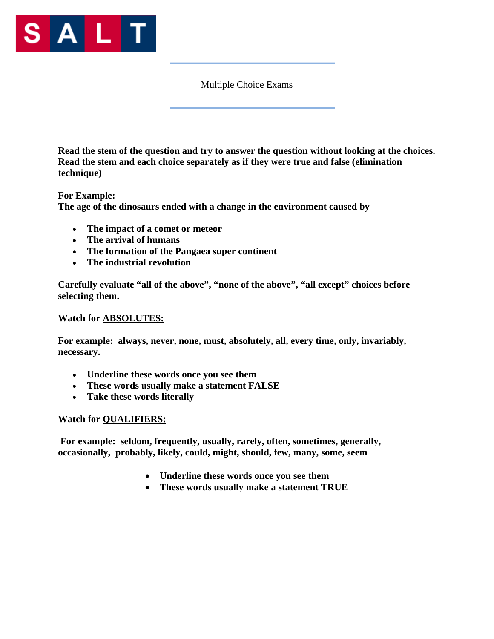

Multiple Choice Exams

**Read the stem of the question and try to answer the question without looking at the choices. Read the stem and each choice separately as if they were true and false (elimination technique)** 

**For Example: The age of the dinosaurs ended with a change in the environment caused by** 

- **The impact of a comet or meteor**
- **The arrival of humans**
- **The formation of the Pangaea super continent**
- **The industrial revolution**

**Carefully evaluate "all of the above", "none of the above", "all except" choices before selecting them.** 

#### **Watch for ABSOLUTES:**

**For example: always, never, none, must, absolutely, all, every time, only, invariably, necessary.** 

- **Underline these words once you see them**
- **These words usually make a statement FALSE**
- **Take these words literally**

#### **Watch for QUALIFIERS:**

 **For example: seldom, frequently, usually, rarely, often, sometimes, generally, occasionally, probably, likely, could, might, should, few, many, some, seem** 

- **Underline these words once you see them**
- **These words usually make a statement TRUE**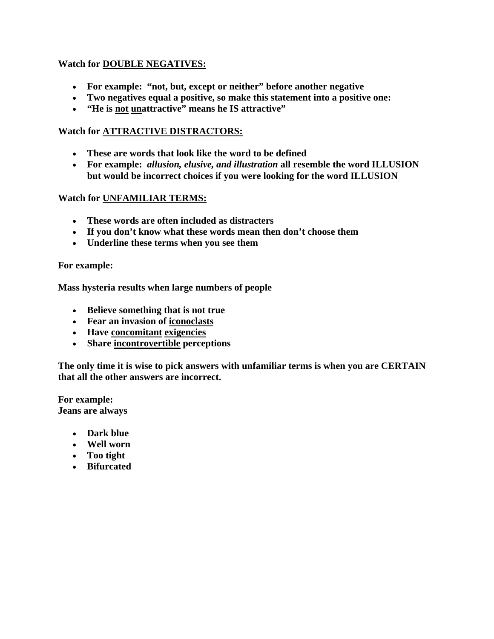### **Watch for DOUBLE NEGATIVES:**

- **For example: "not, but, except or neither" before another negative**
- **Two negatives equal a positive, so make this statement into a positive one:**
- **"He is not unattractive" means he IS attractive"**

#### **Watch for ATTRACTIVE DISTRACTORS:**

- **These are words that look like the word to be defined**
- **For example:** *allusion, elusive, and illustration* **all resemble the word ILLUSION but would be incorrect choices if you were looking for the word ILLUSION**

#### **Watch for UNFAMILIAR TERMS:**

- **These words are often included as distracters**
- **If you don't know what these words mean then don't choose them**
- **Underline these terms when you see them**

#### **For example:**

**Mass hysteria results when large numbers of people** 

- **Believe something that is not true**
- **Fear an invasion of iconoclasts**
- **Have concomitant exigencies**
- **Share incontrovertible perceptions**

**The only time it is wise to pick answers with unfamiliar terms is when you are CERTAIN that all the other answers are incorrect.** 

**For example: Jeans are always** 

- **Dark blue**
- **Well worn**
- **Too tight**
- **Bifurcated**